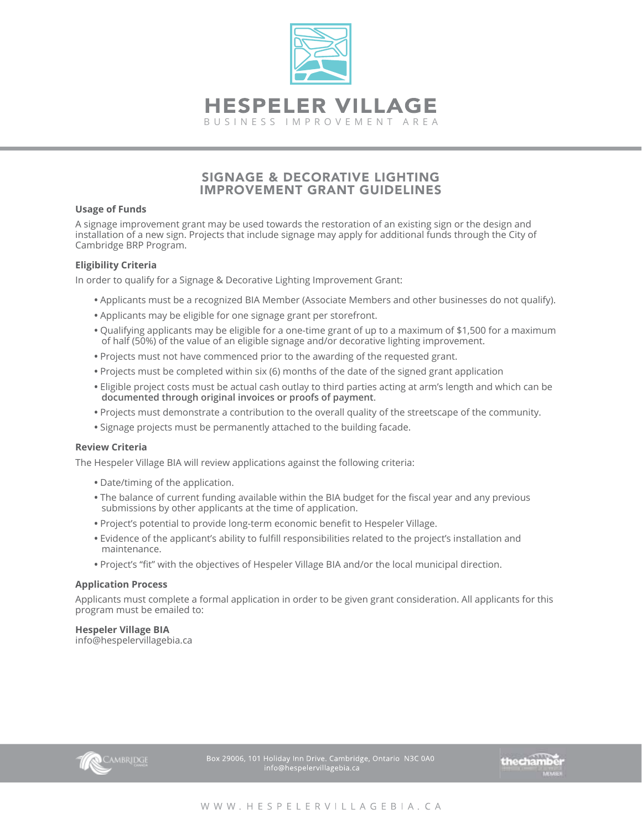

## SIGNAGE & DECORATIVE LIGHTING IMPROVEMENT GRANT GUIDELINES

### **Usage of Funds**

A signage improvement grant may be used towards the restoration of an existing sign or the design and installation of a new sign. Projects that include signage may apply for additional funds through the City of Cambridge BRP Program.

## **Eligibility Criteria**

In order to qualify for a Signage & Decorative Lighting Improvement Grant:

- Applicants must be a recognized BIA Member (Associate Members and other businesses do not qualify).
- Applicants may be eligible for one signage grant per storefront.
- Qualifying applicants may be eligible for a one-time grant of up to a maximum of \$1,500 for a maximum of half (50%) of the value of an eligible signage and/or decorative lighting improvement.
- Projects must not have commenced prior to the awarding of the requested grant.
- Projects must be completed within six (6) months of the date of the signed grant application
- Eligible project costs must be actual cash outlay to third parties acting at arm's length and which can be **documented through original invoices or proofs of payment**.
- Projects must demonstrate a contribution to the overall quality of the streetscape of the community.
- Signage projects must be permanently attached to the building facade.

## **Review Criteria**

The Hespeler Village BIA will review applications against the following criteria:

- Date/timing of the application.
- The balance of current funding available within the BIA budget for the fiscal year and any previous submissions by other applicants at the time of application.
- Project's potential to provide long-term economic benefit to Hespeler Village.
- Evidence of the applicant's ability to fulfill responsibilities related to the project's installation and maintenance.
- Project's "fit" with the objectives of Hespeler Village BIA and/or the local municipal direction.

#### **Application Process**

Applicants must complete a formal application in order to be given grant consideration. All applicants for this program must be emailed to:

## **Hespeler Village BIA**

info@hespelervillagebia.ca